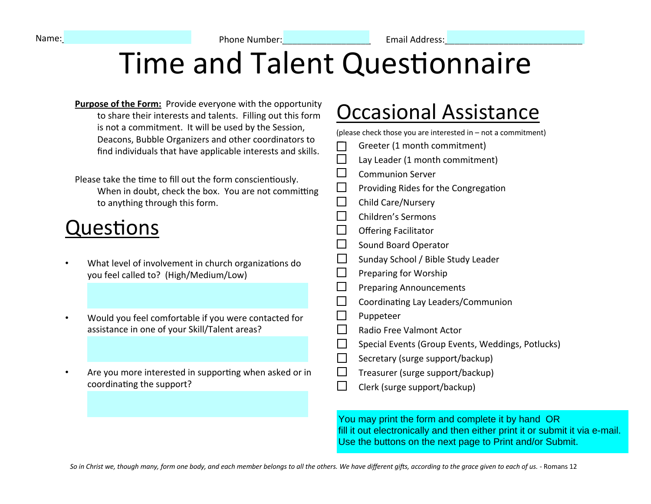## Time and Talent Questionnaire

**Purpose of the Form:** Provide everyone with the opportunity to share their interests and talents. Filling out this form is not a commitment. It will be used by the Session, Deacons, Bubble Organizers and other coordinators to find individuals that have applicable interests and skills.

Please take the time to fill out the form conscientiously. When in doubt, check the box. You are not committing to anything through this form.

## Questions

- What level of involvement in church organizations do you feel called to? (High/Medium/Low)
- Would you feel comfortable if you were contacted for assistance in one of your Skill/Talent areas?
- Are you more interested in supporting when asked or in coordinating the support?

## **Occasional Assistance**

| (please check those you are interested in $-$ not a commitment) |                                                   |  |  |  |
|-----------------------------------------------------------------|---------------------------------------------------|--|--|--|
|                                                                 | Greeter (1 month commitment)                      |  |  |  |
|                                                                 | Lay Leader (1 month commitment)                   |  |  |  |
|                                                                 | <b>Communion Server</b>                           |  |  |  |
|                                                                 | Providing Rides for the Congregation              |  |  |  |
|                                                                 | <b>Child Care/Nursery</b>                         |  |  |  |
|                                                                 | Children's Sermons                                |  |  |  |
|                                                                 | <b>Offering Facilitator</b>                       |  |  |  |
|                                                                 | Sound Board Operator                              |  |  |  |
|                                                                 | Sunday School / Bible Study Leader                |  |  |  |
| П                                                               | Preparing for Worship                             |  |  |  |
|                                                                 | <b>Preparing Announcements</b>                    |  |  |  |
|                                                                 | Coordinating Lay Leaders/Communion                |  |  |  |
|                                                                 | Puppeteer                                         |  |  |  |
|                                                                 | Radio Free Valmont Actor                          |  |  |  |
|                                                                 | Special Events (Group Events, Weddings, Potlucks) |  |  |  |
|                                                                 | Secretary (surge support/backup)                  |  |  |  |
|                                                                 | Treasurer (surge support/backup)                  |  |  |  |
|                                                                 | Clerk (surge support/backup)                      |  |  |  |

You may print the form and complete it by hand OR fill it out electronically and then either print it or submit it via e-mail. Use the buttons on the next page to Print and/or Submit.